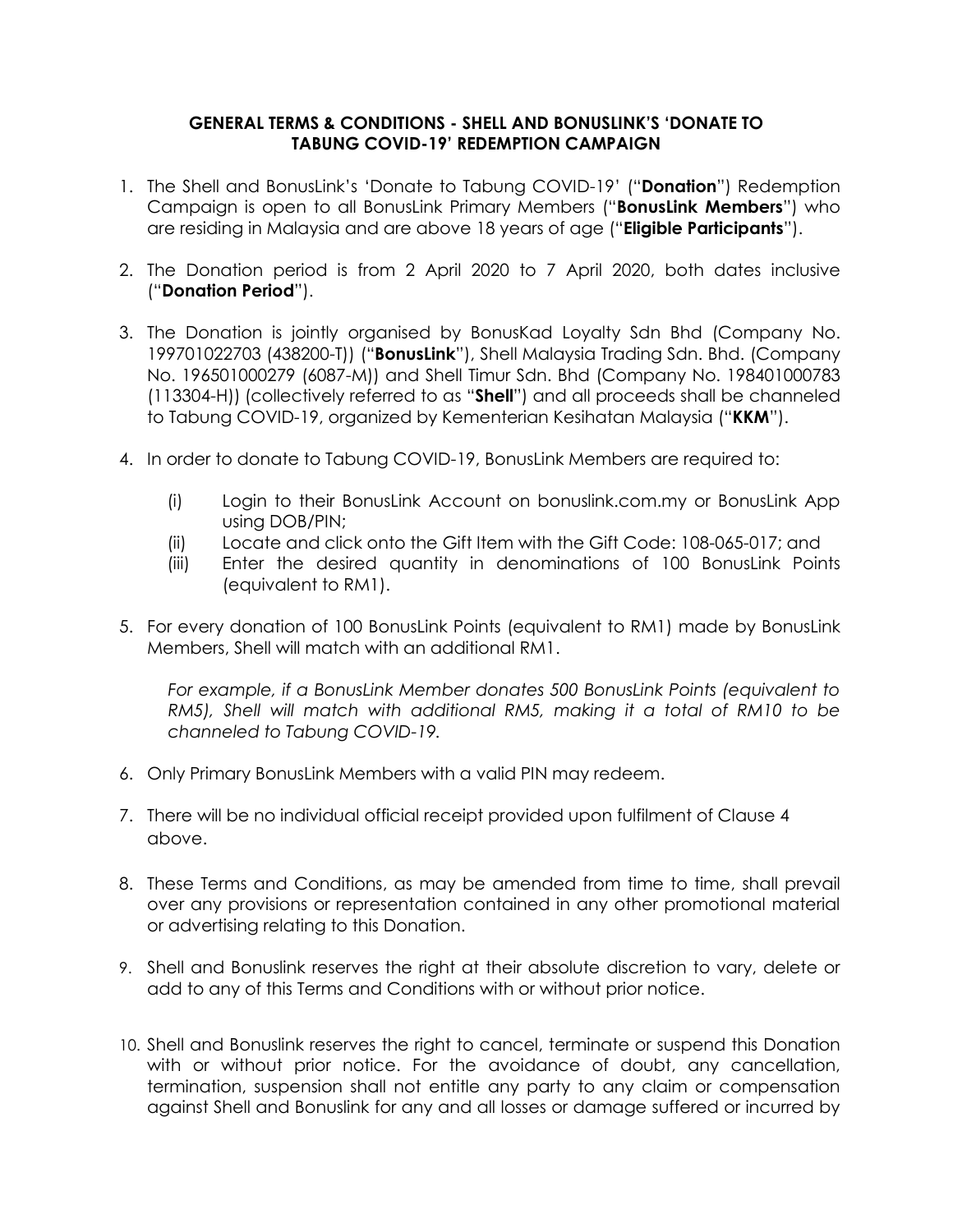## **GENERAL TERMS & CONDITIONS - SHELL AND BONUSLINK'S 'DONATE TO TABUNG COVID-19' REDEMPTION CAMPAIGN**

- 1. The Shell and BonusLink's 'Donate to Tabung COVID-19' ("**Donation**") Redemption Campaign is open to all BonusLink Primary Members ("**BonusLink Members**") who are residing in Malaysia and are above 18 years of age ("**Eligible Participants**").
- 2. The Donation period is from 2 April 2020 to 7 April 2020, both dates inclusive ("**Donation Period**").
- 3. The Donation is jointly organised by BonusKad Loyalty Sdn Bhd (Company No. 199701022703 (438200-T)) ("**BonusLink**"), Shell Malaysia Trading Sdn. Bhd. (Company No. 196501000279 (6087-M)) and Shell Timur Sdn. Bhd (Company No. 198401000783 (113304-H)) (collectively referred to as "**Shell**") and all proceeds shall be channeled to Tabung COVID-19, organized by Kementerian Kesihatan Malaysia ("**KKM**").
- 4. In order to donate to Tabung COVID-19, BonusLink Members are required to:
	- (i) Login to their BonusLink Account on bonuslink.com.my or BonusLink App using DOB/PIN;
	- (ii) Locate and click onto the Gift Item with the Gift Code: 108-065-017; and
	- (iii) Enter the desired quantity in denominations of 100 BonusLink Points (equivalent to RM1).
- 5. For every donation of 100 BonusLink Points (equivalent to RM1) made by BonusLink Members, Shell will match with an additional RM1.

*For example, if a BonusLink Member donates 500 BonusLink Points (equivalent to RM5), Shell will match with additional RM5, making it a total of RM10 to be channeled to Tabung COVID-19.*

- 6. Only Primary BonusLink Members with a valid PIN may redeem.
- 7. There will be no individual official receipt provided upon fulfilment of Clause 4 above.
- 8. These Terms and Conditions, as may be amended from time to time, shall prevail over any provisions or representation contained in any other promotional material or advertising relating to this Donation.
- 9. Shell and Bonuslink reserves the right at their absolute discretion to vary, delete or add to any of this Terms and Conditions with or without prior notice.
- 10. Shell and Bonuslink reserves the right to cancel, terminate or suspend this Donation with or without prior notice. For the avoidance of doubt, any cancellation, termination, suspension shall not entitle any party to any claim or compensation against Shell and Bonuslink for any and all losses or damage suffered or incurred by